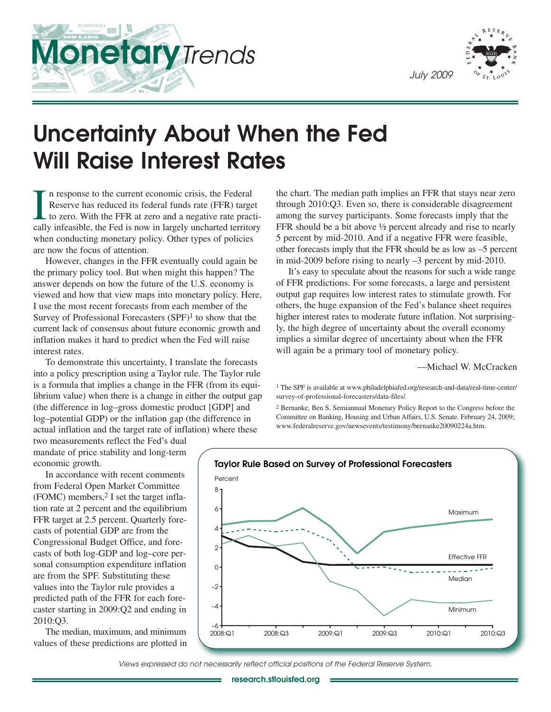



# **Uncertainty About When the Fed Will Raise Interest Rates**

In response to the current economic crisis, the Federal<br>Reserve has reduced its federal funds rate (FFR) target<br>to zero. With the FFR at zero and a negative rate practi-<br>cally infeasible, the Fed is now in largely uncharte n response to the current economic crisis, the Federal Reserve has reduced its federal funds rate (FFR) target to zero. With the FFR at zero and a negative rate practiwhen conducting monetary policy. Other types of policies are now the focus of attention.

However, changes in the FFR eventually could again be the primary policy tool. But when might this happen? The answer depends on how the future of the U.S. economy is viewed and how that view maps into monetary policy. Here, I use the most recent forecasts from each member of the Survey of Professional Forecasters (SPF)1 to show that the current lack of consensus about future economic growth and inflation makes it hard to predict when the Fed will raise interest rates.

To demonstrate this uncertainty, I translate the forecasts into a policy prescription using a Taylor rule. The Taylor rule is a formula that implies a change in the FFR (from its equilibrium value) when there is a change in either the output gap (the difference in log–gross domestic product [GDP] and log–potential GDP) or the inflation gap (the difference in actual inflation and the target rate of inflation) where these

two measurements reflect the Fed's dual mandate of price stability and long-term economic growth.

In accordance with recent comments from Federal Open Market Committee  $(FOMC)$  members,<sup>2</sup> I set the target inflation rate at 2 percent and the equilibrium FFR target at 2.5 percent. Quarterly forecasts of potential GDP are from the Congressional Budget Office, and forecasts of both log-GDP and log–core personal consumption expenditure inflation are from the SPF. Substituting these values into the Taylor rule provides a predicted path of the FFR for each forecaster starting in 2009:Q2 and ending in 2010:Q3.

The median, maximum, and minimum values of these predictions are plotted in the chart. The median path implies an FFR that stays near zero through 2010:Q3. Even so, there is considerable disagreement among the survey participants. Some forecasts imply that the FFR should be a bit above ½ percent already and rise to nearly 5 percent by mid-2010. And if a negative FFR were feasible, other forecasts imply that the FFR should be as low as –5 percent in mid-2009 before rising to nearly –3 percent by mid-2010.

It's easy to speculate about the reasons for such a wide range of FFR predictions. For some forecasts, a large and persistent output gap requires low interest rates to stimulate growth. For others, the huge expansion of the Fed's balance sheet requires higher interest rates to moderate future inflation. Not surprisingly, the high degree of uncertainty about the overall economy implies a similar degree of uncertainty about when the FFR will again be a primary tool of monetary policy.

—Michael W. McCracken

1 The SPF is available at www.philadelphiafed.org/research-and-data/real-time-center/ survey-of-professional-forecasters/data-files/.

2 Bernanke, Ben S. Semiannual Monetary Policy Report to the Congress before the Committee on Banking, Housing and Urban Affairs, U.S. Senate. February 24, 2009; www.federalreserve.gov/newsevents/testimony/bernanke20090224a.htm.



Views expressed do not necessarily reflect official positions of the Federal Reserve System.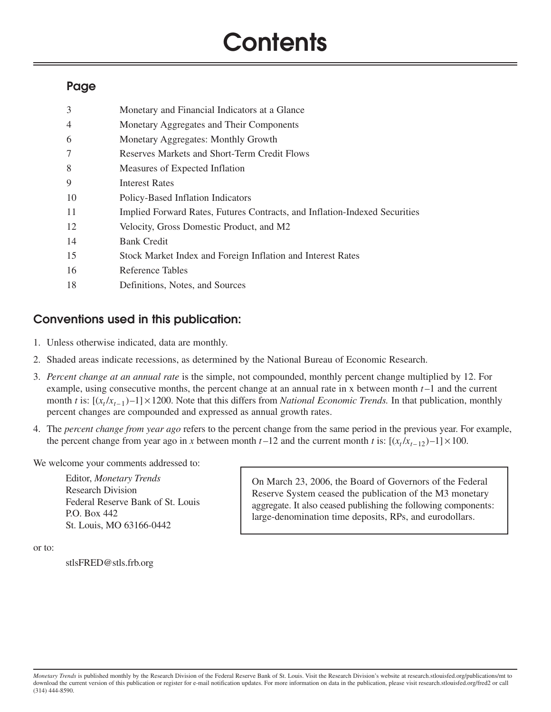# **Contents**

# **Page**

| 3              | Monetary and Financial Indicators at a Glance                              |
|----------------|----------------------------------------------------------------------------|
| $\overline{4}$ | Monetary Aggregates and Their Components                                   |
| 6              | Monetary Aggregates: Monthly Growth                                        |
| 7              | Reserves Markets and Short-Term Credit Flows                               |
| 8              | Measures of Expected Inflation                                             |
| 9              | <b>Interest Rates</b>                                                      |
| 10             | Policy-Based Inflation Indicators                                          |
| 11             | Implied Forward Rates, Futures Contracts, and Inflation-Indexed Securities |
| 12             | Velocity, Gross Domestic Product, and M2                                   |
| 14             | <b>Bank Credit</b>                                                         |
| 15             | Stock Market Index and Foreign Inflation and Interest Rates                |
| 16             | Reference Tables                                                           |
| 18             | Definitions, Notes, and Sources                                            |

# **Conventions used in this publication:**

- 1. Unless otherwise indicated, data are monthly.
- 2. Shaded areas indicate recessions, as determined by the National Bureau of Economic Research.
- 3. *Percent change at an annual rate* is the simple, not compounded, monthly percent change multiplied by 12. For example, using consecutive months, the percent change at an annual rate in x between month *t* –1 and the current month *t* is:  $[(x_t/x_{t-1})-1] \times 1200$ . Note that this differs from *National Economic Trends*. In that publication, monthly percent changes are compounded and expressed as annual growth rates.
- 4. The *percent change from year ago* refers to the percent change from the same period in the previous year. For example, the percent change from year ago in *x* between month  $t-12$  and the current month *t* is:  $[(x_t/x_{t-12})-1] \times 100$ .

We welcome your comments addressed to:

Editor, *Monetary Trends* Research Division Federal Reserve Bank of St. Louis P.O. Box 442 St. Louis, MO 63166-0442

On March 23, 2006, the Board of Governors of the Federal Reserve System ceased the publication of the M3 monetary aggregate. It also ceased publishing the following components: large-denomination time deposits, RPs, and eurodollars.

or to:

stlsFRED@stls.frb.org

*Monetary Trends* is published monthly by the Research Division of the Federal Reserve Bank of St. Louis. Visit the Research Division's website at research.stlouisfed.org/publications/mt to download the current version of this publication or register for e-mail notification updates. For more information on data in the publication, please visit research.stlouisfed.org/fred2 or call (314) 444-8590.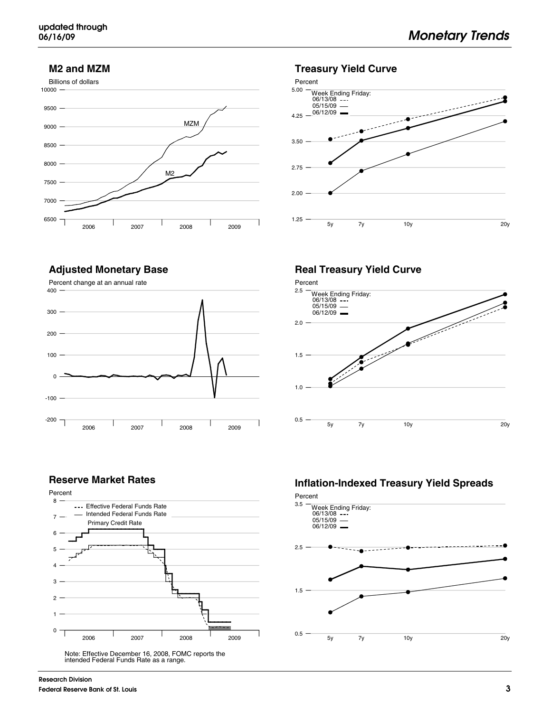#### **M2 and MZM**





#### **Adjusted Monetary Base**



#### **Real Treasury Yield Curve**



#### **Reserve Market Rates**



Note: Effective December 16, 2008, FOMC reports the intended Federal Funds Rate as a range.

## **Inflation-Indexed Treasury Yield Spreads**

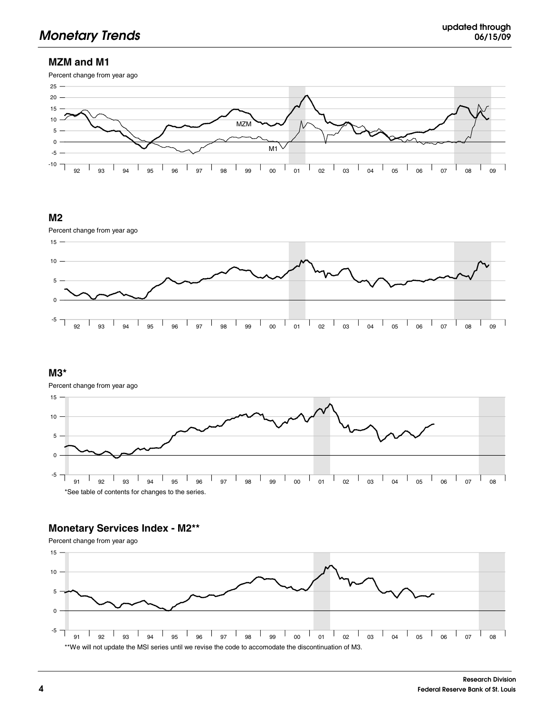## **MZM and M1**



#### **M2**



#### **M3\***

Percent change from year ago



## **Monetary Services Index - M2\*\***

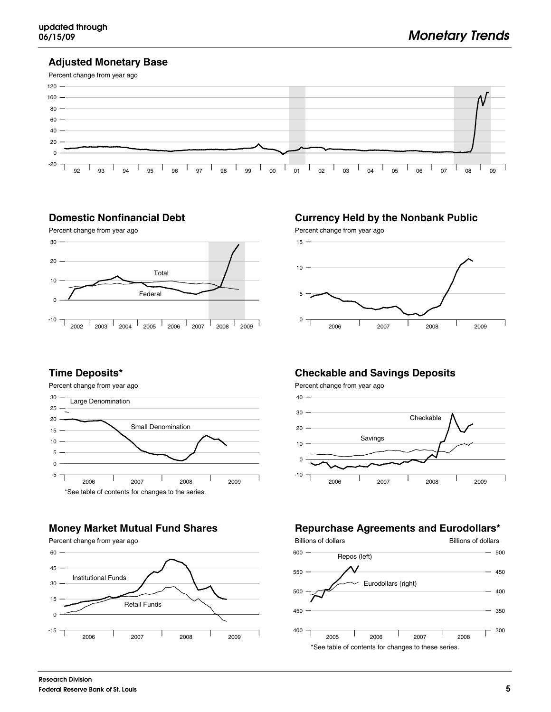#### **Adjusted Monetary Base**



#### **Domestic Nonfinancial Debt**



# **Currency Held by the Nonbank Public**



#### **Time Deposits\***

Percent change from year ago



## **Money Market Mutual Fund Shares**



# **Checkable and Savings Deposits**

Percent change from year ago



## **Repurchase Agreements and Eurodollars\***

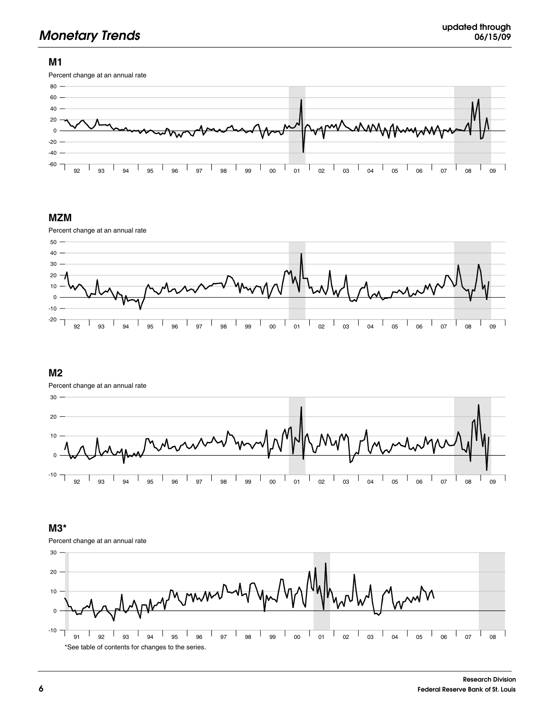#### **M1**



#### **MZM**



#### **M2**

Percent change at an annual rate



#### **M3\***

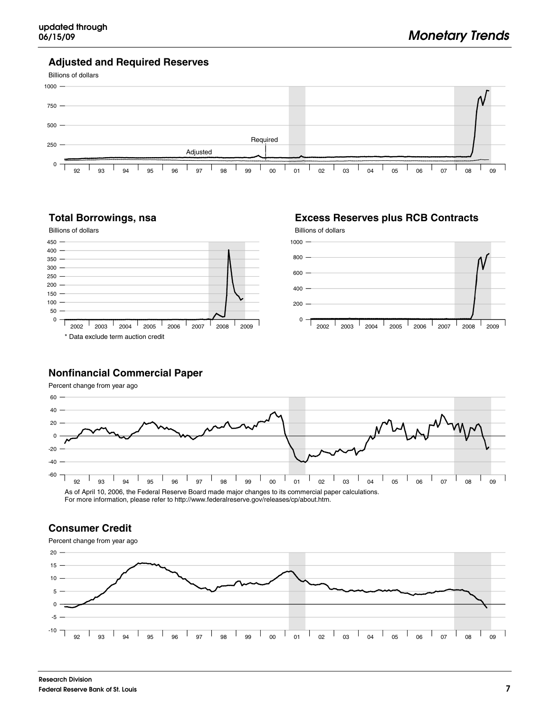**Excess Reserves plus RCB Contracts**

#### **Adjusted and Required Reserves**



#### **Total Borrowings, nsa**



#### **Nonfinancial Commercial Paper**

Percent change from year ago



For more information, please refer to http://www.federalreserve.gov/releases/cp/about.htm.

#### **Consumer Credit**

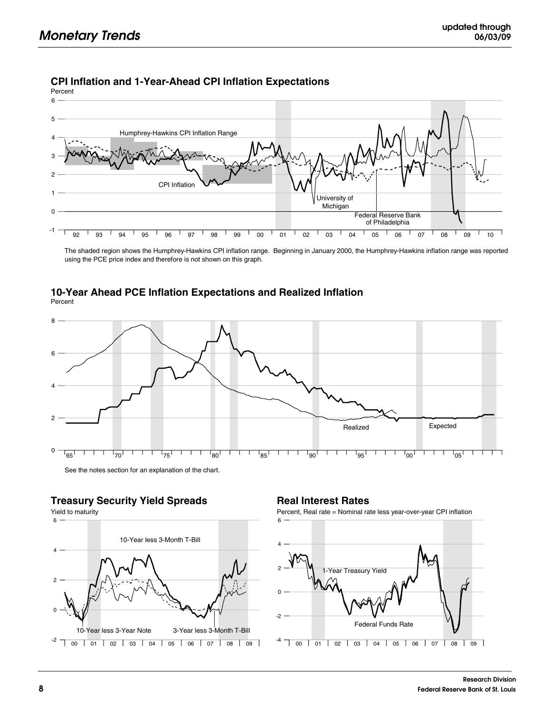## **CPI Inflation and 1-Year-Ahead CPI Inflation Expectations**

Percent



The shaded region shows the Humphrey-Hawkins CPI inflation range. Beginning in January 2000, the Humphrey-Hawkins inflation range was reported using the PCE price index and therefore is not shown on this graph.

#### **10-Year Ahead PCE Inflation Expectations and Realized Inflation** Percent



# **Treasury Security Yield Spreads**



## **Real Interest Rates**

Percent, Real rate = Nominal rate less year-over-year CPI inflation

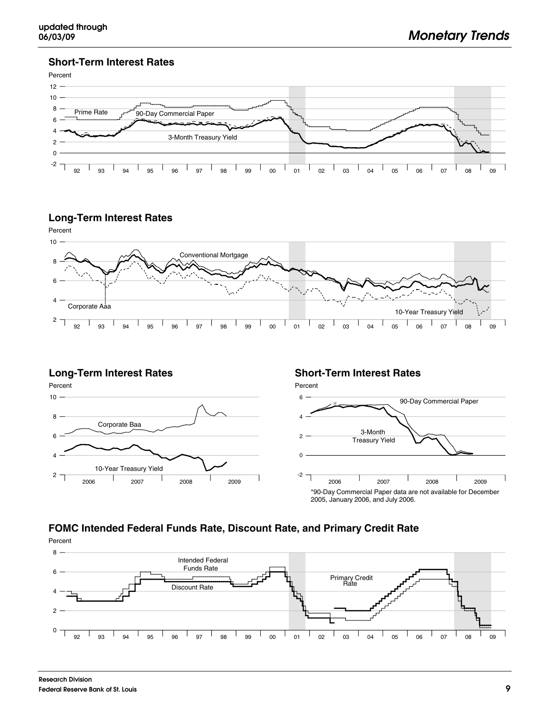#### **Short-Term Interest Rates**



#### **Long-Term Interest Rates**



#### **Long-Term Interest Rates**



#### **Short-Term Interest Rates**



# **FOMC Intended Federal Funds Rate, Discount Rate, and Primary Credit Rate**

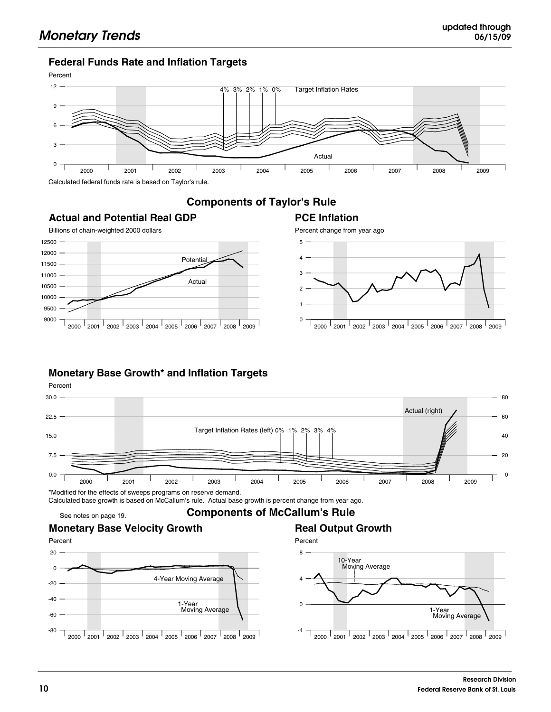#### **Federal Funds Rate and Inflation Targets**



## **Components of Taylor's Rule**

**PCE Inflation**

# **Actual and Potential Real GDP**



## **Monetary Base Growth\* and Inflation Targets**





2000 2001 2002 2003 2004 2005 2006 2007 2008 2009 00 01 02 03 04 05 06 07 08 09 10 2000 2001 2002 2003 2004 2005 2006 2007 2008 2009 1-Year Moving Average -4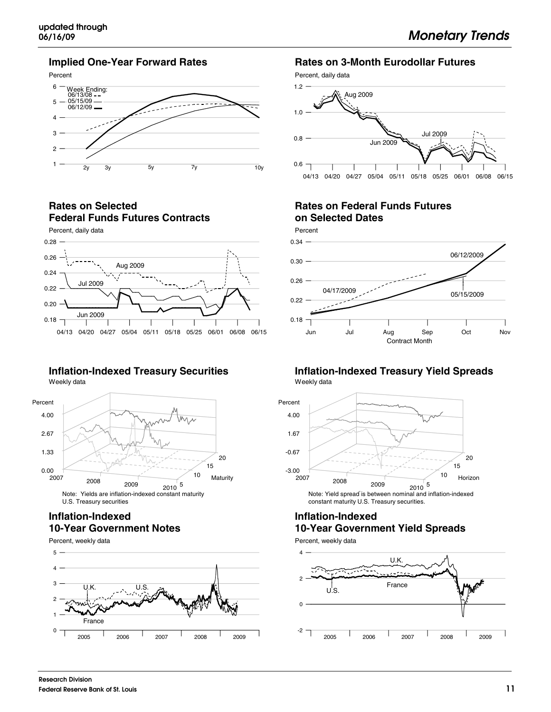#### **Implied One-Year Forward Rates**



**Rates on Selected Federal Funds Futures Contracts**



#### **Inflation-Indexed Treasury Securities** Weekly data



#### **Inflation-Indexed 10-Year Government Notes**

Percent, weekly data 5



## **Rates on 3-Month Eurodollar Futures**

Percent, daily data



## **Rates on Federal Funds Futures on Selected Dates**



#### **Inflation-Indexed Treasury Yield Spreads** Weekly data



constant maturity U.S. Treasury securities.

#### **Inflation-Indexed 10-Year Government Yield Spreads**

Percent, weekly data

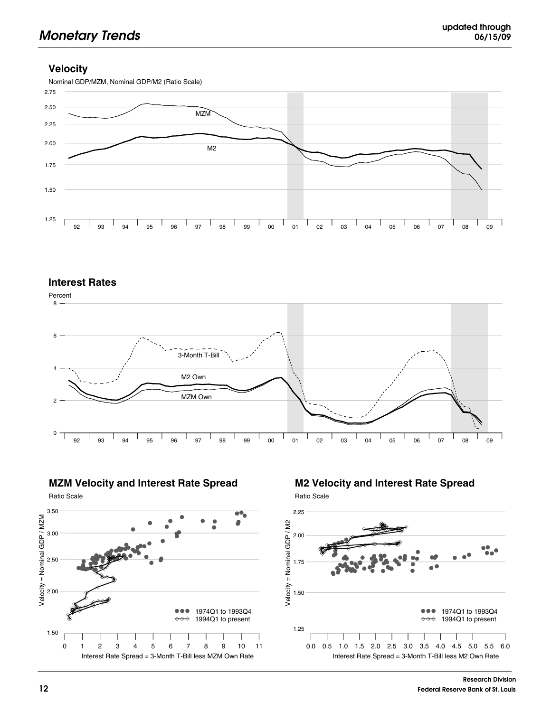#### **Velocity**



#### **Interest Rates**





Ratio Scale



# **M2 Velocity and Interest Rate Spread**

Ratio Scale

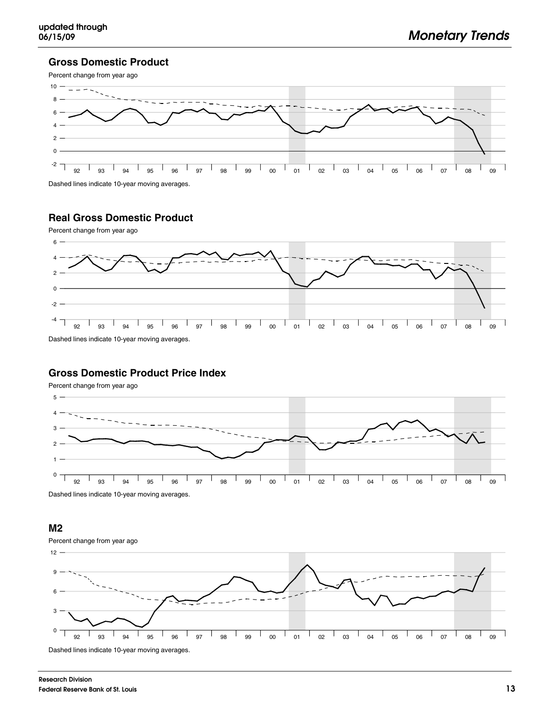#### **Gross Domestic Product**



Dashed lines indicate 10-year moving averages.

## **Real Gross Domestic Product**



#### **Gross Domestic Product Price Index**

Percent change from year ago



Dashed lines indicate 10-year moving averages.

#### **M2**



**Research Division Federal Reserve Bank of St. Louis**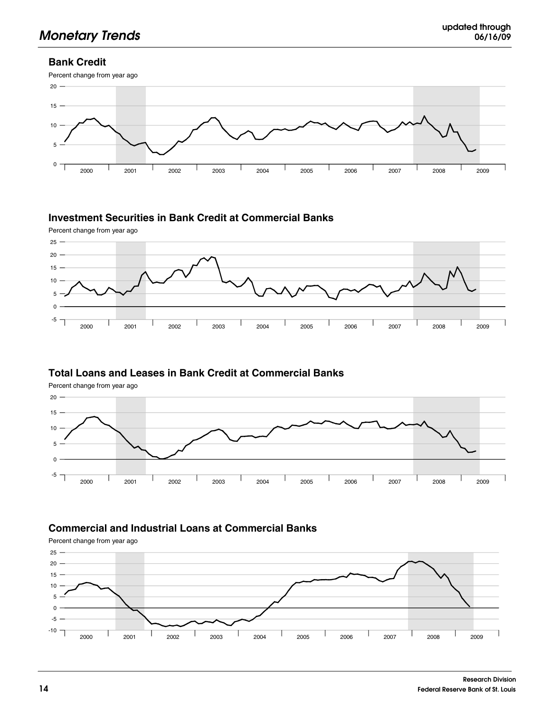## **Bank Credit**



## **Investment Securities in Bank Credit at Commercial Banks**



## **Total Loans and Leases in Bank Credit at Commercial Banks**

Percent change from year ago



## **Commercial and Industrial Loans at Commercial Banks**

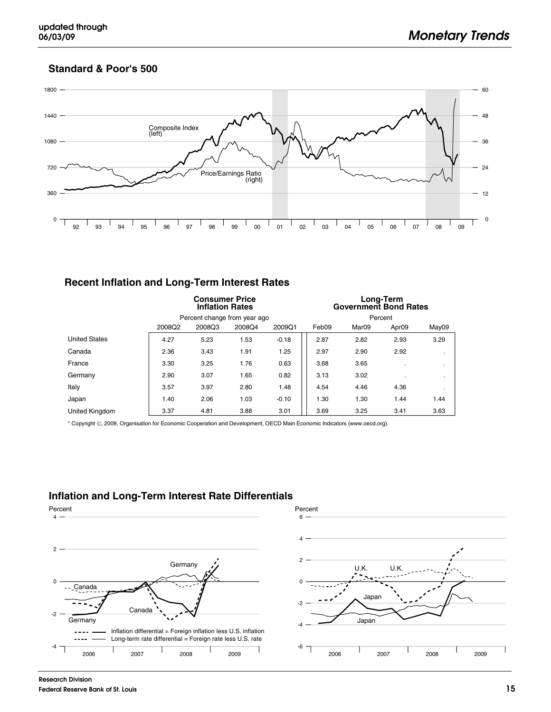#### **Standard & Poor's 500**



## **Recent Inflation and Long-Term Interest Rates**

|                       | <b>Consumer Price</b><br><b>Inflation Rates</b> |        |                              |         | Long-Term<br><b>Government Bond Rates</b> |                   |                   |           |
|-----------------------|-------------------------------------------------|--------|------------------------------|---------|-------------------------------------------|-------------------|-------------------|-----------|
|                       |                                                 |        | Percent change from year ago |         | Percent                                   |                   |                   |           |
|                       | 2008Q2                                          | 2008Q3 | 2008Q4                       | 2009Q1  | Feb09                                     | Mar <sub>09</sub> | Apr <sub>09</sub> | May09     |
| <b>United States</b>  | 4.27                                            | 5.23   | 1.53                         | $-0.18$ | 2.87                                      | 2.82              | 2.93              | 3.29      |
| Canada                | 2.36                                            | 3.43   | 1.91                         | 1.25    | 2.97                                      | 2.90              | 2.92              | $\cdot$   |
| France                | 3.30                                            | 3.25   | 1.76                         | 0.63    | 3.68                                      | 3.65              |                   | $\cdot$   |
| Germany               | 2.90                                            | 3.07   | 1.65                         | 0.82    | 3.13                                      | 3.02              |                   | $\cdot$   |
| Italy                 | 3.57                                            | 3.97   | 2.80                         | 1.48    | 4.54                                      | 4.46              | 4.36              | $\bullet$ |
| Japan                 | 1.40                                            | 2.06   | 1.03                         | $-0.10$ | 1.30                                      | 1.30              | 1.44              | 1.44      |
| <b>United Kingdom</b> | 3.37                                            | 4.81   | 3.88                         | 3.01    | 3.69                                      | 3.25              | 3.41              | 3.63      |

\* Copyright , 2009, Organisation for Economic Cooperation and Development, OECD Main Economic Indicators (www.oecd.org).

## **Inflation and Long-Term Interest Rate Differentials**



1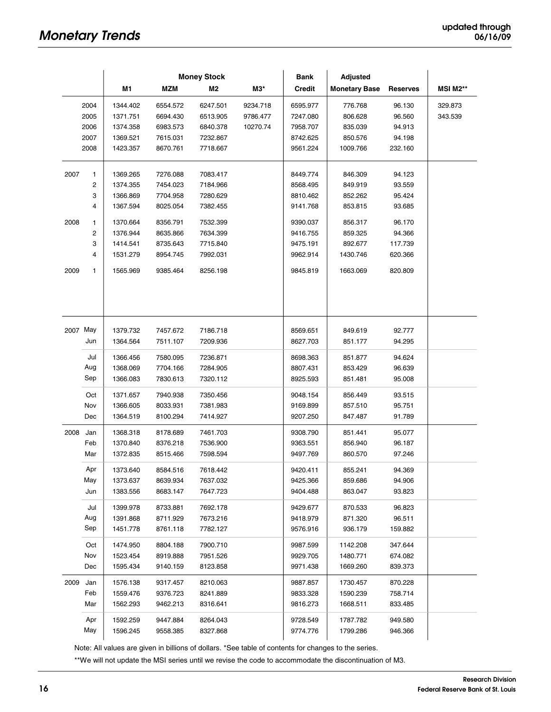|      |                | <b>Money Stock</b>   |                      |                      | Bank<br><b>Adjusted</b> |                      |                      |                  |                 |
|------|----------------|----------------------|----------------------|----------------------|-------------------------|----------------------|----------------------|------------------|-----------------|
|      |                | M1                   | <b>MZM</b>           | M <sub>2</sub>       | МЗ*                     | <b>Credit</b>        | <b>Monetary Base</b> | <b>Reserves</b>  | <b>MSI M2**</b> |
|      | 2004           | 1344.402             | 6554.572             | 6247.501             | 9234.718                | 6595.977             | 776.768              | 96.130           | 329.873         |
|      | 2005           | 1371.751             | 6694.430             | 6513.905             | 9786.477                | 7247.080             | 806.628              | 96.560           | 343.539         |
|      | 2006           | 1374.358             | 6983.573             | 6840.378             | 10270.74                | 7958.707             | 835.039              | 94.913           |                 |
|      | 2007           | 1369.521             | 7615.031             | 7232.867             |                         | 8742.625             | 850.576              | 94.198           |                 |
|      | 2008           | 1423.357             | 8670.761             | 7718.667             |                         | 9561.224             | 1009.766             | 232.160          |                 |
| 2007 | 1              | 1369.265             | 7276.088             | 7083.417             |                         | 8449.774             | 846.309              | 94.123           |                 |
|      | $\overline{c}$ | 1374.355             | 7454.023             | 7184.966             |                         | 8568.495             | 849.919              | 93.559           |                 |
|      | 3              | 1366.869             | 7704.958             | 7280.629             |                         | 8810.462             | 852.262              | 95.424           |                 |
|      | 4              | 1367.594             | 8025.054             | 7382.455             |                         | 9141.768             | 853.815              | 93.685           |                 |
| 2008 | 1              | 1370.664             | 8356.791             | 7532.399             |                         | 9390.037             | 856.317              | 96.170           |                 |
|      | $\overline{c}$ | 1376.944             | 8635.866             | 7634.399             |                         | 9416.755             | 859.325              | 94.366           |                 |
|      | 3              | 1414.541             | 8735.643             | 7715.840             |                         | 9475.191             | 892.677              | 117.739          |                 |
|      | 4              | 1531.279             | 8954.745             | 7992.031             |                         | 9962.914             | 1430.746             | 620.366          |                 |
| 2009 | 1              | 1565.969             | 9385.464             | 8256.198             |                         | 9845.819             | 1663.069             | 820.809          |                 |
|      |                |                      |                      |                      |                         |                      |                      |                  |                 |
|      | 2007 May       |                      |                      |                      |                         |                      |                      |                  |                 |
|      | Jun            | 1379.732<br>1364.564 | 7457.672<br>7511.107 | 7186.718<br>7209.936 |                         | 8569.651<br>8627.703 | 849.619<br>851.177   | 92.777<br>94.295 |                 |
|      |                |                      |                      |                      |                         |                      |                      |                  |                 |
|      | Jul            | 1366.456             | 7580.095             | 7236.871             |                         | 8698.363             | 851.877              | 94.624           |                 |
|      | Aug            | 1368.069             | 7704.166             | 7284.905             |                         | 8807.431             | 853.429              | 96.639           |                 |
|      | Sep            | 1366.083             | 7830.613             | 7320.112             |                         | 8925.593             | 851.481              | 95.008           |                 |
|      | Oct            | 1371.657             | 7940.938             | 7350.456             |                         | 9048.154             | 856.449              | 93.515           |                 |
|      | Nov            | 1366.605             | 8033.931             | 7381.983             |                         | 9169.899             | 857.510              | 95.751           |                 |
|      | Dec            | 1364.519             | 8100.294             | 7414.927             |                         | 9207.250             | 847.487              | 91.789           |                 |
| 2008 | Jan            | 1368.318             | 8178.689             | 7461.703             |                         | 9308.790             | 851.441              | 95.077           |                 |
|      | Feb            | 1370.840             | 8376.218             | 7536.900             |                         | 9363.551             | 856.940              | 96.187           |                 |
|      | Mar            | 1372.835             | 8515.466             | 7598.594             |                         | 9497.769             | 860.570              | 97.246           |                 |
|      | Apr            | 1373.640             | 8584.516             | 7618.442             |                         | 9420.411             | 855.241              | 94.369           |                 |
|      | May            | 1373.637             | 8639.934             | 7637.032             |                         | 9425.366             | 859.686              | 94.906           |                 |
|      | Jun            | 1383.556             | 8683.147             | 7647.723             |                         | 9404.488             | 863.047              | 93.823           |                 |
|      | Jul            | 1399.978             | 8733.881             | 7692.178             |                         | 9429.677             | 870.533              | 96.823           |                 |
|      | Aug            | 1391.868             | 8711.929             | 7673.216             |                         | 9418.979             | 871.320              | 96.511           |                 |
|      | Sep            | 1451.778             | 8761.118             | 7782.127             |                         | 9576.916             | 936.179              | 159.882          |                 |
|      | Oct            | 1474.950             | 8804.188             | 7900.710             |                         | 9987.599             | 1142.208             | 347.644          |                 |
|      | Nov            | 1523.454             | 8919.888             | 7951.526             |                         | 9929.705             | 1480.771             | 674.082          |                 |
|      | Dec            | 1595.434             | 9140.159             | 8123.858             |                         | 9971.438             | 1669.260             | 839.373          |                 |
| 2009 | Jan            | 1576.138             | 9317.457             | 8210.063             |                         | 9887.857             | 1730.457             | 870.228          |                 |
|      | Feb            | 1559.476             | 9376.723             | 8241.889             |                         | 9833.328             | 1590.239             | 758.714          |                 |
|      | Mar            | 1562.293             | 9462.213             | 8316.641             |                         | 9816.273             | 1668.511             | 833.485          |                 |
|      | Apr            | 1592.259             | 9447.884             | 8264.043             |                         | 9728.549             | 1787.782             | 949.580          |                 |
|      | May            | 1596.245             | 9558.385             | 8327.868             |                         | 9774.776             | 1799.286             | 946.366          |                 |
|      |                |                      |                      |                      |                         |                      |                      |                  |                 |

Note: All values are given in billions of dollars. \*See table of contents for changes to the series.

\*\*We will not update the MSI series until we revise the code to accommodate the discontinuation of M3.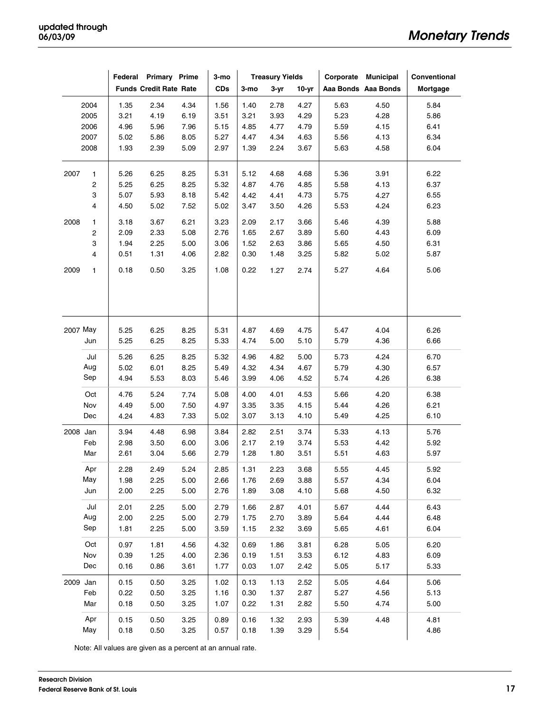|          |             |      | Federal Primary Prime         |      | 3-mo       | <b>Treasury Yields</b> |          | Corporate Municipal |      | Conventional        |          |
|----------|-------------|------|-------------------------------|------|------------|------------------------|----------|---------------------|------|---------------------|----------|
|          |             |      | <b>Funds Credit Rate Rate</b> |      | <b>CDs</b> | 3-mo                   | $3 - yr$ | $10-yr$             |      | Aaa Bonds Aaa Bonds | Mortgage |
|          | 2004        | 1.35 | 2.34                          | 4.34 | 1.56       | 1.40                   | 2.78     | 4.27                | 5.63 | 4.50                | 5.84     |
|          | 2005        | 3.21 | 4.19                          | 6.19 | 3.51       | 3.21                   | 3.93     | 4.29                | 5.23 | 4.28                | 5.86     |
|          | 2006        | 4.96 | 5.96                          | 7.96 | 5.15       | 4.85                   | 4.77     | 4.79                | 5.59 | 4.15                | 6.41     |
|          | 2007        | 5.02 | 5.86                          | 8.05 | 5.27       | 4.47                   | 4.34     | 4.63                | 5.56 | 4.13                | 6.34     |
|          | 2008        | 1.93 | 2.39                          | 5.09 | 2.97       | 1.39                   | 2.24     | 3.67                | 5.63 | 4.58                | 6.04     |
| 2007     | 1           | 5.26 | 6.25                          | 8.25 | 5.31       | 5.12                   | 4.68     | 4.68                | 5.36 | 3.91                | 6.22     |
|          | $\mathbf 2$ | 5.25 | 6.25                          | 8.25 | 5.32       | 4.87                   | 4.76     | 4.85                | 5.58 | 4.13                | 6.37     |
|          | З           | 5.07 | 5.93                          | 8.18 | 5.42       | 4.42                   | 4.41     | 4.73                | 5.75 | 4.27                | 6.55     |
|          | 4           | 4.50 | 5.02                          | 7.52 | 5.02       | 3.47                   | 3.50     | 4.26                | 5.53 | 4.24                | 6.23     |
| 2008     | 1           | 3.18 | 3.67                          | 6.21 | 3.23       | 2.09                   | 2.17     | 3.66                | 5.46 | 4.39                | 5.88     |
|          | $\mathbf 2$ | 2.09 | 2.33                          | 5.08 | 2.76       | 1.65                   | 2.67     | 3.89                | 5.60 | 4.43                | 6.09     |
|          | 3           | 1.94 | 2.25                          | 5.00 | 3.06       | 1.52                   | 2.63     | 3.86                | 5.65 | 4.50                | 6.31     |
|          | 4           | 0.51 | 1.31                          | 4.06 | 2.82       | 0.30                   | 1.48     | 3.25                | 5.82 | 5.02                | 5.87     |
| 2009     | 1           | 0.18 | 0.50                          | 3.25 | 1.08       | 0.22                   | 1.27     | 2.74                | 5.27 | 4.64                | 5.06     |
|          |             |      |                               |      |            |                        |          |                     |      |                     |          |
| 2007 May |             | 5.25 | 6.25                          | 8.25 | 5.31       | 4.87                   | 4.69     | 4.75                | 5.47 | 4.04                | 6.26     |
|          | Jun         | 5.25 | 6.25                          | 8.25 | 5.33       | 4.74                   | 5.00     | 5.10                | 5.79 | 4.36                | 6.66     |
|          | Jul         | 5.26 | 6.25                          | 8.25 | 5.32       | 4.96                   | 4.82     | 5.00                | 5.73 | 4.24                | 6.70     |
|          | Aug         | 5.02 | 6.01                          | 8.25 | 5.49       | 4.32                   | 4.34     | 4.67                | 5.79 | 4.30                | 6.57     |
|          | Sep         | 4.94 | 5.53                          | 8.03 | 5.46       | 3.99                   | 4.06     | 4.52                | 5.74 | 4.26                | 6.38     |
|          | Oct         | 4.76 | 5.24                          | 7.74 | 5.08       | 4.00                   | 4.01     | 4.53                | 5.66 | 4.20                | 6.38     |
|          | Nov         | 4.49 | 5.00                          | 7.50 | 4.97       | 3.35                   | 3.35     | 4.15                | 5.44 | 4.26                | 6.21     |
|          | Dec         | 4.24 | 4.83                          | 7.33 | 5.02       | 3.07                   | 3.13     | 4.10                | 5.49 | 4.25                | 6.10     |
| 2008 Jan |             | 3.94 | 4.48                          | 6.98 | 3.84       | 2.82                   | 2.51     | 3.74                | 5.33 | 4.13                | 5.76     |
|          | Feb         | 2.98 | 3.50                          | 6.00 | 3.06       | 2.17                   | 2.19     | 3.74                | 5.53 | 4.42                | 5.92     |
|          | Mar         | 2.61 | 3.04                          | 5.66 | 2.79       | 1.28                   | 1.80     | 3.51                | 5.51 | 4.63                | 5.97     |
|          | Apr         | 2.28 | 2.49                          | 5.24 | 2.85       | 1.31                   | 2.23     | 3.68                | 5.55 | 4.45                | 5.92     |
|          | May         | 1.98 | 2.25                          | 5.00 | 2.66       | 1.76                   | 2.69     | 3.88                | 5.57 | 4.34                | 6.04     |
|          | Jun         | 2.00 | 2.25                          | 5.00 | 2.76       | 1.89                   | 3.08     | 4.10                | 5.68 | 4.50                | 6.32     |
|          | Jul         | 2.01 | 2.25                          | 5.00 | 2.79       | 1.66                   | 2.87     | 4.01                | 5.67 | 4.44                | 6.43     |
|          | Aug         | 2.00 | 2.25                          | 5.00 | 2.79       | 1.75                   | 2.70     | 3.89                | 5.64 | 4.44                | 6.48     |
|          | Sep         | 1.81 | 2.25                          | 5.00 | 3.59       | 1.15                   | 2.32     | 3.69                | 5.65 | 4.61                | 6.04     |
|          | Oct         | 0.97 | 1.81                          | 4.56 | 4.32       | 0.69                   | 1.86     | 3.81                | 6.28 | 5.05                | 6.20     |
|          | Nov         | 0.39 | 1.25                          | 4.00 | 2.36       | 0.19                   | 1.51     | 3.53                | 6.12 | 4.83                | 6.09     |
|          | Dec         | 0.16 | 0.86                          | 3.61 | 1.77       | 0.03                   | 1.07     | 2.42                | 5.05 | 5.17                | 5.33     |
| 2009 Jan |             | 0.15 | 0.50                          | 3.25 | 1.02       | 0.13                   | 1.13     | 2.52                | 5.05 | 4.64                | 5.06     |
|          | Feb         | 0.22 | 0.50                          | 3.25 | 1.16       | 0.30                   | 1.37     | 2.87                | 5.27 | 4.56                | 5.13     |
|          | Mar         | 0.18 | 0.50                          | 3.25 | 1.07       | 0.22                   | 1.31     | 2.82                | 5.50 | 4.74                | 5.00     |
|          | Apr         | 0.15 | 0.50                          | 3.25 | 0.89       | 0.16                   | 1.32     | 2.93                | 5.39 | 4.48                | 4.81     |
|          | May         | 0.18 | 0.50                          | 3.25 | 0.57       | 0.18                   | 1.39     | 3.29                | 5.54 |                     | 4.86     |

Note: All values are given as a percent at an annual rate.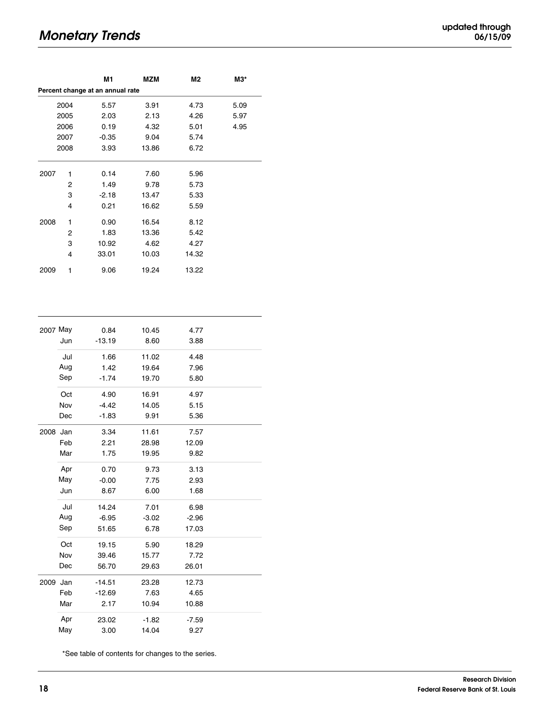# **Monetary Trends**

| updated through |          |  |
|-----------------|----------|--|
|                 | 06/15/09 |  |

|                                  |      | M1      | MZM   | M2    | МЗ*  |  |  |  |  |
|----------------------------------|------|---------|-------|-------|------|--|--|--|--|
| Percent change at an annual rate |      |         |       |       |      |  |  |  |  |
|                                  | 2004 | 5.57    | 3.91  | 4.73  | 5.09 |  |  |  |  |
|                                  | 2005 | 2.03    | 2.13  | 4.26  | 5.97 |  |  |  |  |
|                                  | 2006 | 0.19    | 4.32  | 5.01  | 4.95 |  |  |  |  |
|                                  | 2007 | $-0.35$ | 9.04  | 5.74  |      |  |  |  |  |
|                                  | 2008 | 3.93    | 13.86 | 6.72  |      |  |  |  |  |
|                                  |      |         |       |       |      |  |  |  |  |
| 2007                             | 1    | 0.14    | 7.60  | 5.96  |      |  |  |  |  |
|                                  | 2    | 1.49    | 9.78  | 5.73  |      |  |  |  |  |
|                                  | 3    | $-2.18$ | 13.47 | 5.33  |      |  |  |  |  |
|                                  | 4    | 0.21    | 16.62 | 5.59  |      |  |  |  |  |
| 2008                             | 1    | 0.90    | 16.54 | 8.12  |      |  |  |  |  |
|                                  | 2    | 1.83    | 13.36 | 5.42  |      |  |  |  |  |
|                                  | 3    | 10.92   | 4.62  | 4.27  |      |  |  |  |  |
|                                  | 4    | 33.01   | 10.03 | 14.32 |      |  |  |  |  |
| 2009                             | 1    | 9.06    | 19.24 | 13.22 |      |  |  |  |  |

| 2007 May |     | 0.84     | 10.45   | 4.77    |  |
|----------|-----|----------|---------|---------|--|
|          | Jun | $-13.19$ | 8.60    | 3.88    |  |
|          | Jul | 1.66     | 11.02   | 4.48    |  |
|          | Aug | 1.42     | 19.64   | 7.96    |  |
|          | Sep | $-1.74$  | 19.70   | 5.80    |  |
|          | Oct | 4.90     | 16.91   | 4.97    |  |
|          | Nov | $-4.42$  | 14.05   | 5.15    |  |
|          | Dec | $-1.83$  | 9.91    | 5.36    |  |
| 2008 Jan |     | 3.34     | 11.61   | 7.57    |  |
|          | Feb | 2.21     | 28.98   | 12.09   |  |
|          | Mar | 1.75     | 19.95   | 9.82    |  |
|          | Apr | 0.70     | 9.73    | 3.13    |  |
|          | May | $-0.00$  | 7.75    | 2.93    |  |
|          | Jun | 8.67     | 6.00    | 1.68    |  |
|          | Jul | 14.24    | 7.01    | 6.98    |  |
|          | Aug | $-6.95$  | $-3.02$ | $-2.96$ |  |
|          | Sep | 51.65    | 6.78    | 17.03   |  |
|          | Oct | 19.15    | 5.90    | 18.29   |  |
|          | Nov | 39.46    | 15.77   | 7.72    |  |
|          | Dec | 56.70    | 29.63   | 26.01   |  |
| 2009 Jan |     | $-14.51$ | 23.28   | 12.73   |  |
|          | Feb | $-12.69$ | 7.63    | 4.65    |  |
|          | Mar | 2.17     | 10.94   | 10.88   |  |
|          | Apr | 23.02    | $-1.82$ | $-7.59$ |  |
|          | May | 3.00     | 14.04   | 9.27    |  |

\*See table of contents for changes to the series.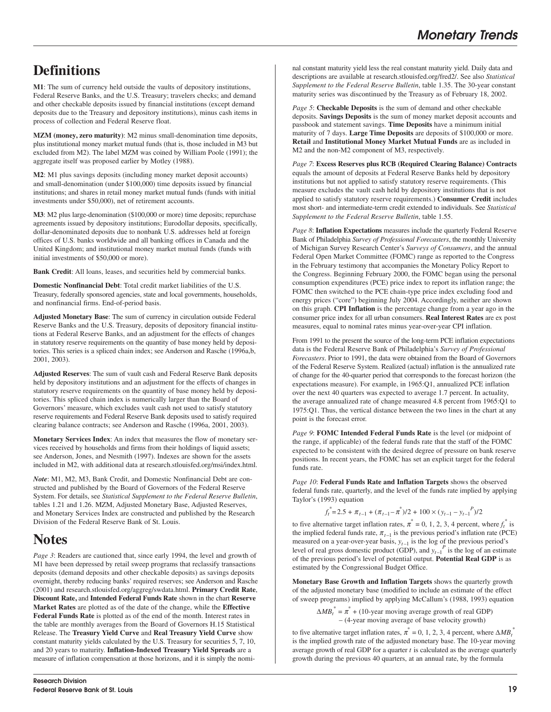# **Definitions**

**M1**: The sum of currency held outside the vaults of depository institutions, Federal Reserve Banks, and the U.S. Treasury; travelers checks; and demand and other checkable deposits issued by financial institutions (except demand deposits due to the Treasury and depository institutions), minus cash items in process of collection and Federal Reserve float.

**MZM (money, zero maturity)**: M2 minus small-denomination time deposits, plus institutional money market mutual funds (that is, those included in M3 but excluded from M2). The label MZM was coined by William Poole (1991); the aggregate itself was proposed earlier by Motley (1988).

**M2**: M1 plus savings deposits (including money market deposit accounts) and small-denomination (under \$100,000) time deposits issued by financial institutions; and shares in retail money market mutual funds (funds with initial investments under \$50,000), net of retirement accounts.

**M3**: M2 plus large-denomination (\$100,000 or more) time deposits; repurchase agreements issued by depository institutions; Eurodollar deposits, specifically, dollar-denominated deposits due to nonbank U.S. addresses held at foreign offices of U.S. banks worldwide and all banking offices in Canada and the United Kingdom; and institutional money market mutual funds (funds with initial investments of \$50,000 or more).

**Bank Credit**: All loans, leases, and securities held by commercial banks.

**Domestic Nonfinancial Debt**: Total credit market liabilities of the U.S. Treasury, federally sponsored agencies, state and local governments, households, and nonfinancial firms. End-of-period basis.

**Adjusted Monetary Base**: The sum of currency in circulation outside Federal Reserve Banks and the U.S. Treasury, deposits of depository financial institutions at Federal Reserve Banks, and an adjustment for the effects of changes in statutory reserve requirements on the quantity of base money held by depositories. This series is a spliced chain index; see Anderson and Rasche (1996a,b, 2001, 2003).

**Adjusted Reserves**: The sum of vault cash and Federal Reserve Bank deposits held by depository institutions and an adjustment for the effects of changes in statutory reserve requirements on the quantity of base money held by depositories. This spliced chain index is numerically larger than the Board of Governors' measure, which excludes vault cash not used to satisfy statutory reserve requirements and Federal Reserve Bank deposits used to satisfy required clearing balance contracts; see Anderson and Rasche (1996a, 2001, 2003).

**Monetary Services Index**: An index that measures the flow of monetary services received by households and firms from their holdings of liquid assets; see Anderson, Jones, and Nesmith (1997). Indexes are shown for the assets included in M2, with additional data at research.stlouisfed.org/msi/index.html.

*Note*: M1, M2, M3, Bank Credit, and Domestic Nonfinancial Debt are constructed and published by the Board of Governors of the Federal Reserve System. For details, see *Statistical Supplement to the Federal Reserve Bulletin*, tables 1.21 and 1.26. MZM, Adjusted Monetary Base, Adjusted Reserves, and Monetary Services Index are constructed and published by the Research Division of the Federal Reserve Bank of St. Louis.

# **Notes**

*Page 3*: Readers are cautioned that, since early 1994, the level and growth of M1 have been depressed by retail sweep programs that reclassify transactions deposits (demand deposits and other checkable deposits) as savings deposits overnight, thereby reducing banks' required reserves; see Anderson and Rasche (2001) and research.stlouisfed.org/aggreg/swdata.html. **Primary Credit Rate**, **Discount Rate,** and **Intended Federal Funds Rate** shown in the chart **Reserve Market Rates** are plotted as of the date of the change, while the **Effective Federal Funds Rate** is plotted as of the end of the month. Interest rates in the table are monthly averages from the Board of Governors H.15 Statistical Release. The **Treasury Yield Curve** and **Real Treasury Yield Curve** show constant maturity yields calculated by the U.S. Treasury for securities 5, 7, 10, and 20 years to maturity. **Inflation-Indexed Treasury Yield Spreads** are a measure of inflation compensation at those horizons, and it is simply the nominal constant maturity yield less the real constant maturity yield. Daily data and descriptions are available at research.stlouisfed.org/fred2/. See also *Statistical Supplement to the Federal Reserve Bulletin*, table 1.35. The 30-year constant maturity series was discontinued by the Treasury as of February 18, 2002.

*Page 5*: **Checkable Deposits** is the sum of demand and other checkable deposits. **Savings Deposits** is the sum of money market deposit accounts and passbook and statement savings. **Time Deposits** have a minimum initial maturity of 7 days. **Large Time Deposits** are deposits of \$100,000 or more. **Retail** and **Institutional Money Market Mutual Funds** are as included in M2 and the non-M2 component of M3, respectively.

*Page 7*: **Excess Reserves plus RCB (Required Clearing Balance) Contracts** equals the amount of deposits at Federal Reserve Banks held by depository institutions but not applied to satisfy statutory reserve requirements. (This measure excludes the vault cash held by depository institutions that is not applied to satisfy statutory reserve requirements.) **Consumer Credit** includes most short- and intermediate-term credit extended to individuals. See *Statistical Supplement to the Federal Reserve Bulletin*, table 1.55.

*Page 8*: **Inflation Expectations** measures include the quarterly Federal Reserve Bank of Philadelphia *Survey of Professional Forecasters*, the monthly University of Michigan Survey Research Center's *Surveys of Consumers*, and the annual Federal Open Market Committee (FOMC) range as reported to the Congress in the February testimony that accompanies the Monetary Policy Report to the Congress. Beginning February 2000, the FOMC began using the personal consumption expenditures (PCE) price index to report its inflation range; the FOMC then switched to the PCE chain-type price index excluding food and energy prices ("core") beginning July 2004. Accordingly, neither are shown on this graph. **CPI Inflation** is the percentage change from a year ago in the consumer price index for all urban consumers. **Real Interest Rates** are ex post measures, equal to nominal rates minus year-over-year CPI inflation.

From 1991 to the present the source of the long-term PCE inflation expectations data is the Federal Reserve Bank of Philadelphia's *Survey of Professional Forecasters*. Prior to 1991, the data were obtained from the Board of Governors of the Federal Reserve System. Realized (actual) inflation is the annualized rate of change for the 40-quarter period that corresponds to the forecast horizon (the expectations measure). For example, in 1965:Q1, annualized PCE inflation over the next 40 quarters was expected to average 1.7 percent. In actuality, the average annualized rate of change measured 4.8 percent from 1965:Q1 to 1975:Q1. Thus, the vertical distance between the two lines in the chart at any point is the forecast error.

*Page 9*: **FOMC Intended Federal Funds Rate** is the level (or midpoint of the range, if applicable) of the federal funds rate that the staff of the FOMC expected to be consistent with the desired degree of pressure on bank reserve positions. In recent years, the FOMC has set an explicit target for the federal funds rate.

*Page 10*: **Federal Funds Rate and Inflation Targets** shows the observed federal funds rate, quarterly, and the level of the funds rate implied by applying Taylor's (1993) equation

$$
f_t^*\!\!=\!2.5+\pi_{t-1}+(\pi_{t-1}\!-\!\pi^*)/2+100\times(y_{t-1}-y_{t-1}^{\phantom{t-1}-})/2
$$

to five alternative target inflation rates,  $\pi^* = 0, 1, 2, 3, 4$  percent, where  $f_t^*$  is the implied federal funds rate,  $\pi_{t-1}$  is the previous period's inflation rate (PCE) measured on a year-over-year basis,  $y_{t-1}$  is the log of the previous period's level of real gross domestic product (GDP), and  $y_{t-1}^P$  is the log of an estimate of the previous period's level of potential output. **Potential Real GDP** is as estimated by the Congressional Budget Office.

**Monetary Base Growth and Inflation Targets** shows the quarterly growth of the adjusted monetary base (modified to include an estimate of the effect of sweep programs) implied by applying McCallum's (1988, 1993) equation

> $\triangle MB_t^* = \pi^* + (10\text{-year moving average growth of real GDP})$ – (4-year moving average of base velocity growth)

to five alternative target inflation rates,  $\pi^* = 0, 1, 2, 3, 4$  percent, where  $\Delta MB_t^*$ is the implied growth rate of the adjusted monetary base. The 10-year moving average growth of real GDP for a quarter *t* is calculated as the average quarterly growth during the previous 40 quarters, at an annual rate, by the formula